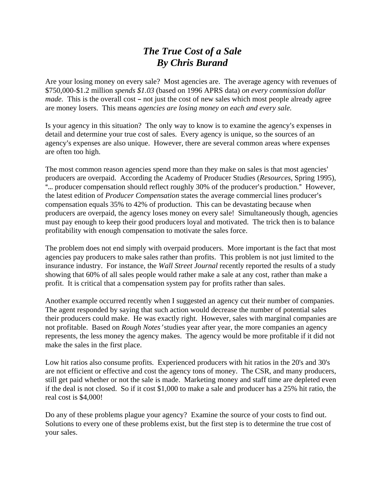## *The True Cost of a Sale By Chris Burand*

Are your losing money on every sale? Most agencies are. The average agency with revenues of \$750,000-\$1.2 million *spends \$1.03* (based on 1996 APRS data) *on every commission dollar made*. This is the overall cost – not just the cost of new sales which most people already agree are money losers. This means *agencies are losing money on each and every sale.*

Is your agency in this situation? The only way to know is to examine the agency's expenses in detail and determine your true cost of sales. Every agency is unique, so the sources of an agency's expenses are also unique. However, there are several common areas where expenses are often too high.

The most common reason agencies spend more than they make on sales is that most agencies' producers are overpaid. According the Academy of Producer Studies (*Resources*, Spring 1995), "... producer compensation should reflect roughly 30% of the producer's production." However, the latest edition of *Producer Compensation* states the average commercial lines producer's compensation equals 35% to 42% of production. This can be devastating because when producers are overpaid, the agency loses money on every sale! Simultaneously though, agencies must pay enough to keep their good producers loyal and motivated. The trick then is to balance profitability with enough compensation to motivate the sales force.

The problem does not end simply with overpaid producers. More important is the fact that most agencies pay producers to make sales rather than profits. This problem is not just limited to the insurance industry. For instance, the *Wall Street Journal* recently reported the results of a study showing that 60% of all sales people would rather make a sale at any cost, rather than make a profit. It is critical that a compensation system pay for profits rather than sales.

Another example occurred recently when I suggested an agency cut their number of companies. The agent responded by saying that such action would decrease the number of potential sales their producers could make. He was exactly right. However, sales with marginal companies are not profitable. Based on *Rough Notes'* studies year after year, the more companies an agency represents, the less money the agency makes. The agency would be more profitable if it did not make the sales in the first place.

Low hit ratios also consume profits. Experienced producers with hit ratios in the 20's and 30's are not efficient or effective and cost the agency tons of money. The CSR, and many producers, still get paid whether or not the sale is made. Marketing money and staff time are depleted even if the deal is not closed. So if it cost \$1,000 to make a sale and producer has a 25% hit ratio, the real cost is \$4,000!

Do any of these problems plague your agency? Examine the source of your costs to find out. Solutions to every one of these problems exist, but the first step is to determine the true cost of your sales.